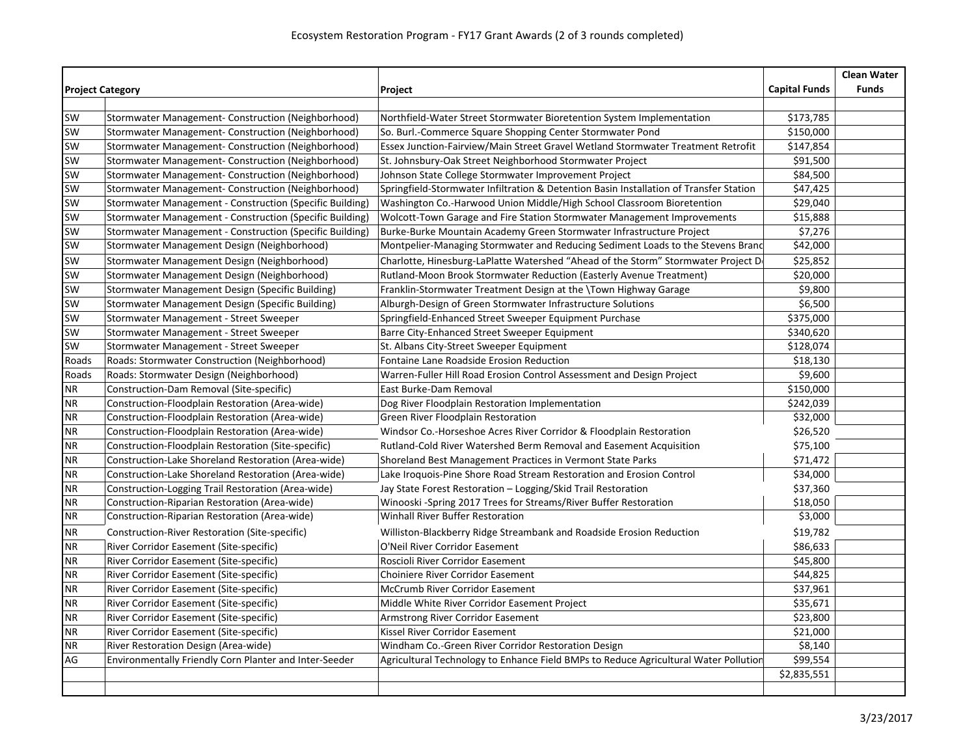|                         |                                                          |                                                                                        |                      | <b>Clean Water</b> |
|-------------------------|----------------------------------------------------------|----------------------------------------------------------------------------------------|----------------------|--------------------|
| <b>Project Category</b> |                                                          | Project                                                                                | <b>Capital Funds</b> | <b>Funds</b>       |
|                         |                                                          |                                                                                        |                      |                    |
| <b>SW</b>               | Stormwater Management- Construction (Neighborhood)       | Northfield-Water Street Stormwater Bioretention System Implementation                  | \$173,785            |                    |
| <b>SW</b>               | Stormwater Management- Construction (Neighborhood)       | So. Burl.-Commerce Square Shopping Center Stormwater Pond                              | \$150,000            |                    |
| SW                      | Stormwater Management- Construction (Neighborhood)       | Essex Junction-Fairview/Main Street Gravel Wetland Stormwater Treatment Retrofit       | \$147,854            |                    |
| <b>SW</b>               | Stormwater Management- Construction (Neighborhood)       | St. Johnsbury-Oak Street Neighborhood Stormwater Project                               | \$91,500             |                    |
| <b>SW</b>               | Stormwater Management- Construction (Neighborhood)       | Johnson State College Stormwater Improvement Project                                   | \$84,500             |                    |
| SW                      | Stormwater Management- Construction (Neighborhood)       | Springfield-Stormwater Infiltration & Detention Basin Installation of Transfer Station | \$47,425             |                    |
| <b>SW</b>               | Stormwater Management - Construction (Specific Building) | Washington Co.-Harwood Union Middle/High School Classroom Bioretention                 | \$29,040             |                    |
| <b>SW</b>               | Stormwater Management - Construction (Specific Building) | Wolcott-Town Garage and Fire Station Stormwater Management Improvements                | \$15,888             |                    |
| SW                      | Stormwater Management - Construction (Specific Building) | Burke-Burke Mountain Academy Green Stormwater Infrastructure Project                   | \$7,276              |                    |
| <b>SW</b>               | Stormwater Management Design (Neighborhood)              | Montpelier-Managing Stormwater and Reducing Sediment Loads to the Stevens Brand        | \$42,000             |                    |
| SW                      | Stormwater Management Design (Neighborhood)              | Charlotte, Hinesburg-LaPlatte Watershed "Ahead of the Storm" Stormwater Project D      | \$25,852             |                    |
| <b>SW</b>               | Stormwater Management Design (Neighborhood)              | Rutland-Moon Brook Stormwater Reduction (Easterly Avenue Treatment)                    | \$20,000             |                    |
| <b>SW</b>               | Stormwater Management Design (Specific Building)         | Franklin-Stormwater Treatment Design at the \Town Highway Garage                       | \$9,800              |                    |
| <b>SW</b>               | Stormwater Management Design (Specific Building)         | Alburgh-Design of Green Stormwater Infrastructure Solutions                            | \$6,500              |                    |
| <b>SW</b>               | Stormwater Management - Street Sweeper                   | Springfield-Enhanced Street Sweeper Equipment Purchase                                 | \$375,000            |                    |
| <b>SW</b>               | Stormwater Management - Street Sweeper                   | Barre City-Enhanced Street Sweeper Equipment                                           | \$340,620            |                    |
| <b>SW</b>               | Stormwater Management - Street Sweeper                   | St. Albans City-Street Sweeper Equipment                                               | \$128,074            |                    |
| Roads                   | <b>Roads: Stormwater Construction (Neighborhood)</b>     | Fontaine Lane Roadside Erosion Reduction                                               | \$18,130             |                    |
| Roads                   | Roads: Stormwater Design (Neighborhood)                  | Warren-Fuller Hill Road Erosion Control Assessment and Design Project                  | \$9,600              |                    |
| <b>NR</b>               | Construction-Dam Removal (Site-specific)                 | East Burke-Dam Removal                                                                 | \$150,000            |                    |
| <b>NR</b>               | Construction-Floodplain Restoration (Area-wide)          | Dog River Floodplain Restoration Implementation                                        | \$242,039            |                    |
| <b>NR</b>               | Construction-Floodplain Restoration (Area-wide)          | Green River Floodplain Restoration                                                     | \$32,000             |                    |
| <b>NR</b>               | Construction-Floodplain Restoration (Area-wide)          | Windsor Co.-Horseshoe Acres River Corridor & Floodplain Restoration                    | \$26,520             |                    |
| <b>NR</b>               | Construction-Floodplain Restoration (Site-specific)      | Rutland-Cold River Watershed Berm Removal and Easement Acquisition                     | \$75,100             |                    |
| <b>NR</b>               | Construction-Lake Shoreland Restoration (Area-wide)      | Shoreland Best Management Practices in Vermont State Parks                             | \$71,472             |                    |
| <b>NR</b>               | Construction-Lake Shoreland Restoration (Area-wide)      | Lake Iroquois-Pine Shore Road Stream Restoration and Erosion Control                   | \$34,000             |                    |
| <b>NR</b>               | Construction-Logging Trail Restoration (Area-wide)       | Jay State Forest Restoration - Logging/Skid Trail Restoration                          | \$37,360             |                    |
| <b>NR</b>               | Construction-Riparian Restoration (Area-wide)            | Winooski -Spring 2017 Trees for Streams/River Buffer Restoration                       | \$18,050             |                    |
| <b>NR</b>               | Construction-Riparian Restoration (Area-wide)            | Winhall River Buffer Restoration                                                       | \$3,000              |                    |
| <b>NR</b>               | Construction-River Restoration (Site-specific)           | Williston-Blackberry Ridge Streambank and Roadside Erosion Reduction                   | \$19,782             |                    |
| <b>NR</b>               | <b>River Corridor Easement (Site-specific)</b>           | O'Neil River Corridor Easement                                                         | \$86,633             |                    |
| <b>NR</b>               | <b>River Corridor Easement (Site-specific)</b>           | Roscioli River Corridor Easement                                                       | \$45,800             |                    |
| <b>NR</b>               | River Corridor Easement (Site-specific)                  | <b>Choiniere River Corridor Easement</b>                                               | \$44,825             |                    |
| <b>NR</b>               | <b>River Corridor Easement (Site-specific)</b>           | <b>McCrumb River Corridor Easement</b>                                                 | \$37,961             |                    |
| <b>NR</b>               | <b>River Corridor Easement (Site-specific)</b>           | Middle White River Corridor Easement Project                                           | \$35,671             |                    |
| <b>NR</b>               | River Corridor Easement (Site-specific)                  | Armstrong River Corridor Easement                                                      | \$23,800             |                    |
| <b>NR</b>               | River Corridor Easement (Site-specific)                  | Kissel River Corridor Easement                                                         | \$21,000             |                    |
| <b>NR</b>               | River Restoration Design (Area-wide)                     | Windham Co.-Green River Corridor Restoration Design                                    | \$8,140              |                    |
| AG                      | Environmentally Friendly Corn Planter and Inter-Seeder   | Agricultural Technology to Enhance Field BMPs to Reduce Agricultural Water Pollution   | \$99,554             |                    |
|                         |                                                          |                                                                                        | \$2,835,551          |                    |
|                         |                                                          |                                                                                        |                      |                    |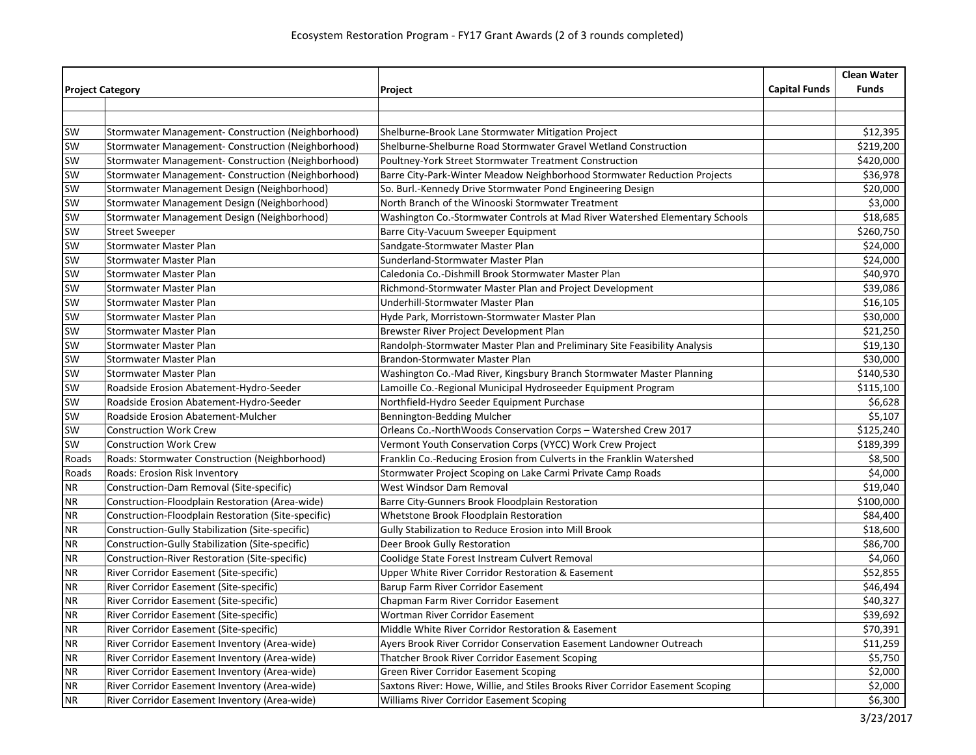|                         |                                                       |                                                                                |                      | <b>Clean Water</b> |
|-------------------------|-------------------------------------------------------|--------------------------------------------------------------------------------|----------------------|--------------------|
| <b>Project Category</b> |                                                       | Project                                                                        | <b>Capital Funds</b> | <b>Funds</b>       |
|                         |                                                       |                                                                                |                      |                    |
|                         |                                                       |                                                                                |                      |                    |
| <b>SW</b>               | Stormwater Management- Construction (Neighborhood)    | Shelburne-Brook Lane Stormwater Mitigation Project                             |                      | \$12,395           |
| SW                      | Stormwater Management- Construction (Neighborhood)    | Shelburne-Shelburne Road Stormwater Gravel Wetland Construction                |                      | \$219,200          |
| SW                      | Stormwater Management- Construction (Neighborhood)    | Poultney-York Street Stormwater Treatment Construction                         |                      | \$420,000          |
| SW                      | Stormwater Management- Construction (Neighborhood)    | Barre City-Park-Winter Meadow Neighborhood Stormwater Reduction Projects       |                      | \$36,978           |
| SW                      | Stormwater Management Design (Neighborhood)           | So. Burl.-Kennedy Drive Stormwater Pond Engineering Design                     |                      | \$20,000           |
| SW                      | Stormwater Management Design (Neighborhood)           | North Branch of the Winooski Stormwater Treatment                              |                      | \$3,000            |
| sw                      | Stormwater Management Design (Neighborhood)           | Washington Co.-Stormwater Controls at Mad River Watershed Elementary Schools   |                      | \$18,685           |
| SW                      | <b>Street Sweeper</b>                                 | Barre City-Vacuum Sweeper Equipment                                            |                      | \$260,750          |
| SW                      | Stormwater Master Plan                                | Sandgate-Stormwater Master Plan                                                |                      | \$24,000           |
| sw                      | <b>Stormwater Master Plan</b>                         | Sunderland-Stormwater Master Plan                                              |                      | \$24,000           |
| SW                      | Stormwater Master Plan                                | Caledonia Co.-Dishmill Brook Stormwater Master Plan                            |                      | \$40,970           |
| SW                      | Stormwater Master Plan                                | Richmond-Stormwater Master Plan and Project Development                        |                      | \$39,086           |
| SW                      | Stormwater Master Plan                                | Underhill-Stormwater Master Plan                                               |                      | \$16,105           |
| SW                      | <b>Stormwater Master Plan</b>                         | Hyde Park, Morristown-Stormwater Master Plan                                   |                      | \$30,000           |
| sw                      | Stormwater Master Plan                                | Brewster River Project Development Plan                                        |                      | \$21,250           |
| <b>SW</b>               | Stormwater Master Plan                                | Randolph-Stormwater Master Plan and Preliminary Site Feasibility Analysis      |                      | \$19,130           |
| <b>SW</b>               | <b>Stormwater Master Plan</b>                         | Brandon-Stormwater Master Plan                                                 |                      | \$30,000           |
| SW                      | <b>Stormwater Master Plan</b>                         | Washington Co.-Mad River, Kingsbury Branch Stormwater Master Planning          |                      | \$140,530          |
| SW                      | Roadside Erosion Abatement-Hydro-Seeder               | Lamoille Co.-Regional Municipal Hydroseeder Equipment Program                  |                      | \$115,100          |
| <b>SW</b>               | Roadside Erosion Abatement-Hydro-Seeder               | Northfield-Hydro Seeder Equipment Purchase                                     |                      | \$6,628            |
| <b>SW</b>               | Roadside Erosion Abatement-Mulcher                    | Bennington-Bedding Mulcher                                                     |                      | \$5,107            |
| SW                      | <b>Construction Work Crew</b>                         | Orleans Co.-NorthWoods Conservation Corps - Watershed Crew 2017                |                      | \$125,240          |
| SW                      | <b>Construction Work Crew</b>                         | Vermont Youth Conservation Corps (VYCC) Work Crew Project                      |                      | \$189,399          |
| Roads                   | Roads: Stormwater Construction (Neighborhood)         | Franklin Co.-Reducing Erosion from Culverts in the Franklin Watershed          |                      | \$8,500            |
| Roads                   | Roads: Erosion Risk Inventory                         | Stormwater Project Scoping on Lake Carmi Private Camp Roads                    |                      | \$4,000            |
| <b>NR</b>               | Construction-Dam Removal (Site-specific)              | West Windsor Dam Removal                                                       |                      | \$19,040           |
| <b>NR</b>               | Construction-Floodplain Restoration (Area-wide)       | Barre City-Gunners Brook Floodplain Restoration                                |                      | \$100,000          |
| <b>NR</b>               | Construction-Floodplain Restoration (Site-specific)   | Whetstone Brook Floodplain Restoration                                         |                      | \$84,400           |
| <b>NR</b>               | Construction-Gully Stabilization (Site-specific)      | Gully Stabilization to Reduce Erosion into Mill Brook                          |                      | \$18,600           |
| <b>NR</b>               | Construction-Gully Stabilization (Site-specific)      | Deer Brook Gully Restoration                                                   |                      | \$86,700           |
| <b>NR</b>               | <b>Construction-River Restoration (Site-specific)</b> | Coolidge State Forest Instream Culvert Removal                                 |                      | \$4,060            |
| <b>NR</b>               | River Corridor Easement (Site-specific)               | Upper White River Corridor Restoration & Easement                              |                      | \$52,855           |
| <b>NR</b>               | River Corridor Easement (Site-specific)               | Barup Farm River Corridor Easement                                             |                      | \$46,494           |
| <b>NR</b>               | River Corridor Easement (Site-specific)               | Chapman Farm River Corridor Easement                                           |                      | \$40,327           |
| <b>NR</b>               | River Corridor Easement (Site-specific)               | Wortman River Corridor Easement                                                |                      | \$39,692           |
| <b>NR</b>               | River Corridor Easement (Site-specific)               | Middle White River Corridor Restoration & Easement                             |                      | \$70,391           |
| <b>NR</b>               | River Corridor Easement Inventory (Area-wide)         | Ayers Brook River Corridor Conservation Easement Landowner Outreach            |                      | \$11,259           |
| <b>NR</b>               | River Corridor Easement Inventory (Area-wide)         | Thatcher Brook River Corridor Easement Scoping                                 |                      | \$5,750            |
| <b>NR</b>               | River Corridor Easement Inventory (Area-wide)         | <b>Green River Corridor Easement Scoping</b>                                   |                      | \$2,000            |
| <b>NR</b>               | River Corridor Easement Inventory (Area-wide)         | Saxtons River: Howe, Willie, and Stiles Brooks River Corridor Easement Scoping |                      | \$2,000            |
| <b>NR</b>               | River Corridor Easement Inventory (Area-wide)         | <b>Williams River Corridor Easement Scoping</b>                                |                      | \$6,300            |